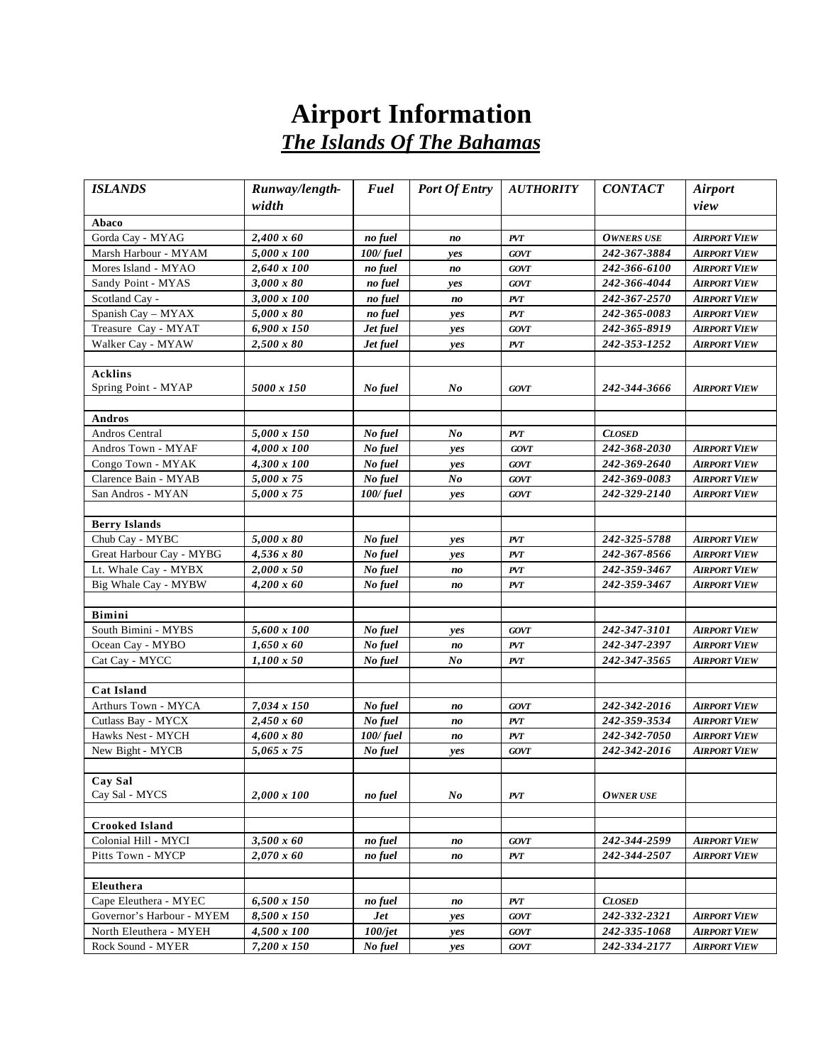## **Airport Information** *The Islands Of The Bahamas*

| <b>ISLANDS</b>            | Runway/length-     | Fuel     | <b>Port Of Entry</b>           | <b>AUTHORITY</b> | <b>CONTACT</b>    | <b>Airport</b>      |
|---------------------------|--------------------|----------|--------------------------------|------------------|-------------------|---------------------|
|                           | width              |          |                                |                  |                   | view                |
| Abaco                     |                    |          |                                |                  |                   |                     |
| Gorda Cay - MYAG          | $2,400 \times 60$  | no fuel  | no                             | PVT              | <b>OWNERS USE</b> | <b>AIRPORT VIEW</b> |
| Marsh Harbour - MYAM      | 5,000 x 100        | 100/fuel | yes                            | <b>GOVT</b>      | 242-367-3884      | <b>AIRPORT VIEW</b> |
| Mores Island - MYAO       | $2,640 \times 100$ | no fuel  | no                             | <b>GOVT</b>      | 242-366-6100      | <b>AIRPORT VIEW</b> |
| Sandy Point - MYAS        | 3,000 x 80         | no fuel  | yes                            | <b>GOVT</b>      | 242-366-4044      | <b>AIRPORT VIEW</b> |
| Scotland Cay -            | 3,000 x 100        | no fuel  | no                             | <b>PVT</b>       | 242-367-2570      | <b>AIRPORT VIEW</b> |
| Spanish Cay - MYAX        | 5,000 x 80         | no fuel  | yes                            | PVT              | 242-365-0083      | <b>AIRPORT VIEW</b> |
| Treasure Cay - MYAT       | 6,900 x 150        | Jet fuel | yes                            | <b>GOVT</b>      | 242-365-8919      | <b>AIRPORT VIEW</b> |
| Walker Cay - MYAW         | 2,500 x 80         | Jet fuel | yes                            | PVT              | 242-353-1252      | <b>AIRPORT VIEW</b> |
|                           |                    |          |                                |                  |                   |                     |
| <b>Acklins</b>            |                    |          |                                |                  |                   |                     |
| Spring Point - MYAP       | 5000 x 150         | No fuel  | No                             | <b>GOVT</b>      | 242-344-3666      | <b>AIRPORT VIEW</b> |
|                           |                    |          |                                |                  |                   |                     |
| Andros                    |                    |          |                                |                  |                   |                     |
| Andros Central            | 5,000 x 150        | No fuel  | No                             | PVT              | <b>CLOSED</b>     |                     |
| Andros Town - MYAF        | 4,000 x 100        | No fuel  | yes                            | <b>GOVT</b>      | 242-368-2030      | <b>AIRPORT VIEW</b> |
| Congo Town - MYAK         | 4,300 x 100        | No fuel  | yes                            | <b>GOVT</b>      | 242-369-2640      | <b>AIRPORT VIEW</b> |
| Clarence Bain - MYAB      | 5,000 x 75         | No fuel  | N <sub>o</sub>                 | <b>GOVT</b>      | 242-369-0083      | <b>AIRPORT VIEW</b> |
| San Andros - MYAN         | 5,000 x 75         | 100/fuel | yes                            | <b>GOVT</b>      | 242-329-2140      | <b>AIRPORT VIEW</b> |
|                           |                    |          |                                |                  |                   |                     |
| <b>Berry Islands</b>      |                    |          |                                |                  |                   |                     |
| Chub Cay - MYBC           | 5,000 x 80         | No fuel  | yes                            | PVT              | 242-325-5788      | <b>AIRPORT VIEW</b> |
| Great Harbour Cay - MYBG  | $4,536 \times 80$  | No fuel  | yes                            | PVT              | 242-367-8566      | <b>AIRPORT VIEW</b> |
| Lt. Whale Cay - MYBX      | $2,000 \times 50$  | No fuel  | $\boldsymbol{n}\boldsymbol{o}$ | PVT              | 242-359-3467      | <b>AIRPORT VIEW</b> |
| Big Whale Cay - MYBW      | $4,200 \times 60$  | No fuel  | no                             | PVT              | 242-359-3467      | <b>AIRPORT VIEW</b> |
|                           |                    |          |                                |                  |                   |                     |
| <b>Bimini</b>             |                    |          |                                |                  |                   |                     |
| South Bimini - MYBS       | 5,600 x 100        | No fuel  | yes                            | <b>GOVT</b>      | 242-347-3101      | <b>AIRPORT VIEW</b> |
| Ocean Cay - MYBO          | $1,650 \times 60$  | No fuel  | no                             | <b>PVT</b>       | 242-347-2397      | <b>AIRPORT VIEW</b> |
| Cat Cay - MYCC            | $1,100 \times 50$  | No fuel  | No                             | PVT              | 242-347-3565      | <b>AIRPORT VIEW</b> |
| <b>Cat Island</b>         |                    |          |                                |                  |                   |                     |
| Arthurs Town - MYCA       | 7,034 x 150        | No fuel  | no                             | <b>GOVT</b>      | 242-342-2016      | <b>AIRPORT VIEW</b> |
| Cutlass Bay - MYCX        | $2,450 \times 60$  | No fuel  | no                             | PVT              | 242-359-3534      | AIRPORT VIEW        |
| Hawks Nest - MYCH         | $4,600 \times 80$  | 100/fuel | no                             | PVT              | 242-342-7050      | <b>AIRPORT VIEW</b> |
| New Bight - MYCB          | $5,065 \times 75$  | No fuel  | yes                            | <b>GOVT</b>      | 242-342-2016      | <b>AIRPORT VIEW</b> |
|                           |                    |          |                                |                  |                   |                     |
| Cay Sal                   |                    |          |                                |                  |                   |                     |
| Cay Sal - MYCS            | 2,000 x 100        | no fuel  | No                             | PVT              | <b>OWNER USE</b>  |                     |
|                           |                    |          |                                |                  |                   |                     |
| <b>Crooked Island</b>     |                    |          |                                |                  |                   |                     |
| Colonial Hill - MYCI      | $3,500 \times 60$  | no fuel  | $\boldsymbol{n}\boldsymbol{o}$ | <b>GOVT</b>      | 242-344-2599      | <b>AIRPORT VIEW</b> |
| Pitts Town - MYCP         | $2,070 \times 60$  | no fuel  | no                             | PVT              | 242-344-2507      | <b>AIRPORT VIEW</b> |
|                           |                    |          |                                |                  |                   |                     |
| Eleuthera                 |                    |          |                                |                  |                   |                     |
| Cape Eleuthera - MYEC     | 6,500 x 150        | no fuel  | $\boldsymbol{n}\boldsymbol{o}$ | PVT              | <b>CLOSED</b>     |                     |
| Governor's Harbour - MYEM | 8,500 x 150        | Jet      | yes                            | <b>GOVT</b>      | 242-332-2321      | <b>AIRPORT VIEW</b> |
| North Eleuthera - MYEH    | 4,500 x 100        | 100/jet  | yes                            | GOVT             | 242-335-1068      | <b>AIRPORT VIEW</b> |
| Rock Sound - MYER         | 7,200 x 150        | No fuel  | yes                            | GOVT             | 242-334-2177      | <b>AIRPORT VIEW</b> |